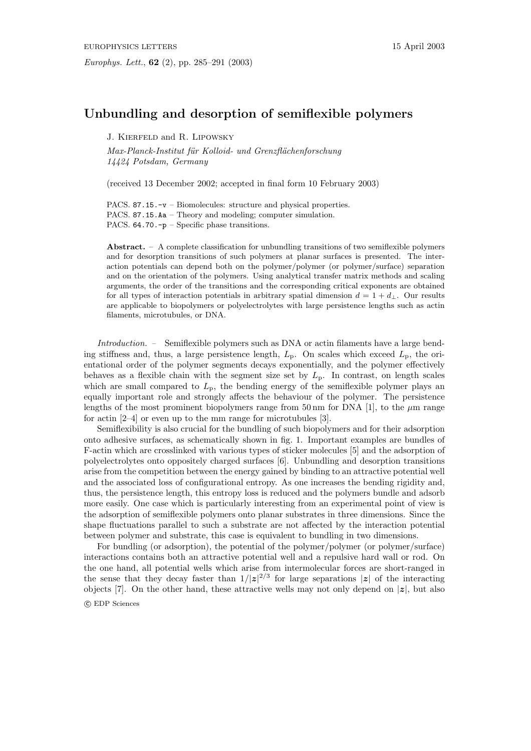## **Unbundling and desorption of semiflexible polymers**

J. Kierfeld and R. Lipowsky

Max-Planck-Institut für Kolloid- und Grenzflächenforschung 14424 Potsdam, Germany

(received 13December 2002; accepted in final form 10 February 2003)

PACS. 87.15.-v – Biomolecules: structure and physical properties. PACS. 87.15.Aa – Theory and modeling; computer simulation. PACS. 64.70.-p – Specific phase transitions.

**Abstract.** – A complete classification for unbundling transitions of two semiflexible polymers and for desorption transitions of such polymers at planar surfaces is presented. The interaction potentials can depend both on the polymer/polymer (or polymer/surface) separation and on the orientation of the polymers. Using analytical transfer matrix methods and scaling arguments, the order of the transitions and the corresponding critical exponents are obtained for all types of interaction potentials in arbitrary spatial dimension  $d = 1 + d_{\perp}$ . Our results are applicable to biopolymers or polyelectrolytes with large persistence lengths such as actin filaments, microtubules, or DNA.

Introduction. – Semiflexible polymers such as DNA or actin filaments have a large bending stiffness and, thus, a large persistence length,  $L_p$ . On scales which exceed  $L_p$ , the orientational order of the polymer segments decays exponentially, and the polymer effectively behaves as a flexible chain with the segment size set by  $L_p$ . In contrast, on length scales which are small compared to  $L_p$ , the bending energy of the semiflexible polymer plays an equally important role and strongly affects the behaviour of the polymer. The persistence lengths of the most prominent biopolymers range from 50 nm for DNA [1], to the  $\mu$ m range for actin [2–4] or even up to the mm range for microtubules [3].

Semiflexibility is also crucial for the bundling of such biopolymers and for their adsorption onto adhesive surfaces, as schematically shown in fig. 1. Important examples are bundles of F-actin which are crosslinked with various types of sticker molecules [5] and the adsorption of polyelectrolytes onto oppositely charged surfaces [6]. Unbundling and desorption transitions arise from the competition between the energy gained by binding to an attractive potential well and the associated loss of configurational entropy. As one increases the bending rigidity and, thus, the persistence length, this entropy loss is reduced and the polymers bundle and adsorb more easily. One case which is particularly interesting from an experimental point of view is the adsorption of semiflexible polymers onto planar substrates in three dimensions. Since the shape fluctuations parallel to such a substrate are not affected by the interaction potential between polymer and substrate, this case is equivalent to bundling in two dimensions.

For bundling (or adsorption), the potential of the polymer/polymer (or polymer/surface) interactions contains both an attractive potential well and a repulsive hard wall or rod. On the one hand, all potential wells which arise from intermolecular forces are short-ranged in the sense that they decay faster than  $1/|z|^{2/3}$  for large separations |*z*| of the interacting objects [7]. On the other hand, these attractive wells may not only depend on  $|z|$ , but also

c EDP Sciences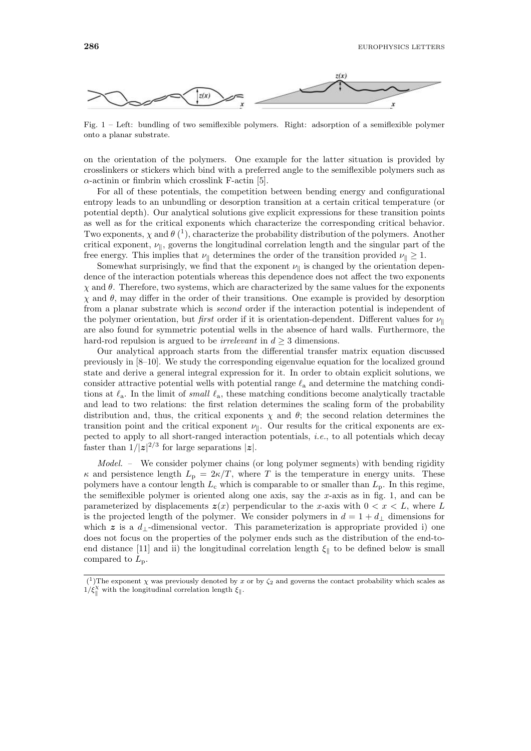

Fig. 1 – Left: bundling of two semiflexible polymers. Right: adsorption of a semiflexible polymer onto a planar substrate.

on the orientation of the polymers. One example for the latter situation is provided by crosslinkers or stickers which bind with a preferred angle to the semiflexible polymers such as  $\alpha$ -actinin or fimbrin which crosslink F-actin [5].

For all of these potentials, the competition between bending energy and configurational entropy leads to an unbundling or desorption transition at a certain critical temperature (or potential depth). Our analytical solutions give explicit expressions for these transition points as well as for the critical exponents which characterize the corresponding critical behavior. Two exponents,  $\chi$  and  $\theta$  (<sup>1</sup>), characterize the probability distribution of the polymers. Another critical exponent,  $\nu_{\parallel}$ , governs the longitudinal correlation length and the singular part of the free energy. This implies that  $\nu_{\parallel}$  determines the order of the transition provided  $\nu_{\parallel} \geq 1$ .

Somewhat surprisingly, we find that the exponent  $\nu_{\parallel}$  is changed by the orientation dependence of the interaction potentials whereas this dependence does not affect the two exponents  $\chi$  and  $\theta$ . Therefore, two systems, which are characterized by the same values for the exponents  $\chi$  and  $\theta$ , may differ in the order of their transitions. One example is provided by desorption from a planar substrate which is second order if the interaction potential is independent of the polymer orientation, but *first* order if it is orientation-dependent. Different values for  $\nu_{\parallel}$ are also found for symmetric potential wells in the absence of hard walls. Furthermore, the hard-rod repulsion is argued to be *irrelevant* in  $d \geq 3$  dimensions.

Our analytical approach starts from the differential transfer matrix equation discussed previously in [8–10]. We study the corresponding eigenvalue equation for the localized ground state and derive a general integral expression for it. In order to obtain explicit solutions, we consider attractive potential wells with potential range  $\ell_a$  and determine the matching conditions at  $\ell_a$ . In the limit of *small*  $\ell_a$ , these matching conditions become analytically tractable and lead to two relations: the first relation determines the scaling form of the probability distribution and, thus, the critical exponents  $\chi$  and  $\theta$ ; the second relation determines the transition point and the critical exponent  $\nu_{\parallel}$ . Our results for the critical exponents are expected to apply to all short-ranged interaction potentials, *i.e.*, to all potentials which decay faster than  $1/|z|^{2/3}$  for large separations  $|z|$ .

Model. – We consider polymer chains (or long polymer segments) with bending rigidity  $\kappa$  and persistence length  $L_p = 2\kappa/T$ , where T is the temperature in energy units. These polymers have a contour length  $L_c$  which is comparable to or smaller than  $L_p$ . In this regime, the semiflexible polymer is oriented along one axis, say the  $x$ -axis as in fig. 1, and can be parameterized by displacements  $z(x)$  perpendicular to the x-axis with  $0 < x < L$ , where L is the projected length of the polymer. We consider polymers in  $d = 1 + d_{\perp}$  dimensions for which  $z$  is a  $d_1$ -dimensional vector. This parameterization is appropriate provided i) one does not focus on the properties of the polymer ends such as the distribution of the end-toend distance [11] and ii) the longitudinal correlation length  $\xi_{\parallel}$  to be defined below is small compared to  $L_{\rm p}$ .

<sup>(&</sup>lt;sup>1</sup>)The exponent  $\chi$  was previously denoted by x or by  $\zeta_2$  and governs the contact probability which scales as  $1/\xi_{\parallel}^{\chi}$  with the longitudinal correlation length  $\xi_{\parallel}$ .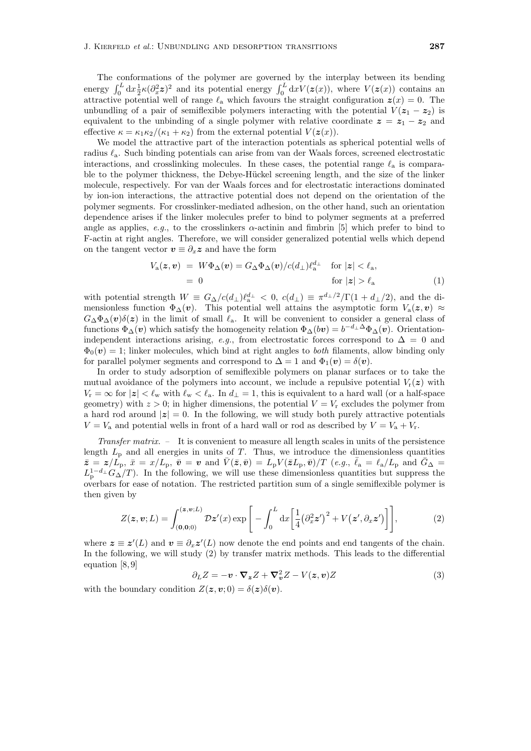The conformations of the polymer are governed by the interplay between its bending energy  $\int_0^L dx \frac{1}{2} \kappa (\partial_x^2 z)^2$  and its potential energy  $\int_0^L dx V(z(x))$ , where  $V(z(x))$  contains an attractive potential well of range  $\ell_a$  which favours the straight configuration  $z(x) = 0$ . The unbundling of a pair of semiflexible polymers interacting with the potential  $V(z_1 - z_2)$  is equivalent to the unbinding of a single polymer with relative coordinate  $z = z_1 - z_2$  and effective  $\kappa = \kappa_1 \kappa_2/(\kappa_1 + \kappa_2)$  from the external potential  $V(z(x))$ .

We model the attractive part of the interaction potentials as spherical potential wells of radius  $\ell_a$ . Such binding potentials can arise from van der Waals forces, screened electrostatic interactions, and crosslinking molecules. In these cases, the potential range  $\ell_a$  is comparable to the polymer thickness, the Debye-Hückel screening length, and the size of the linker molecule, respectively. For van der Waals forces and for electrostatic interactions dominated by ion-ion interactions, the attractive potential does not depend on the orientation of the polymer segments. For crosslinker-mediated adhesion, on the other hand, such an orientation dependence arises if the linker molecules prefer to bind to polymer segments at a preferred angle as applies, e.g., to the crosslinkers  $\alpha$ -actinin and fimbrin [5] which prefer to bind to F-actin at right angles. Therefore, we will consider generalized potential wells which depend on the tangent vector  $v \equiv \partial_x z$  and have the form

$$
V_{\mathbf{a}}(\mathbf{z}, \mathbf{v}) = W\Phi_{\Delta}(\mathbf{v}) = G_{\Delta}\Phi_{\Delta}(\mathbf{v})/c(d_{\perp})\ell_{\mathbf{a}}^{d_{\perp}} \quad \text{for } |\mathbf{z}| < \ell_{\mathbf{a}},
$$
  
= 0 \qquad \text{for } |\mathbf{z}| > \ell\_{\mathbf{a}} \qquad (1)

with potential strength  $W \equiv G_{\Delta}/c(d_{\perp}) \ell_{a}^{d_{\perp}} < 0$ ,  $c(d_{\perp}) \equiv \pi^{d_{\perp}/2}/\Gamma(1+d_{\perp}/2)$ , and the dimensionless function  $\Phi_{\Delta}(v)$ . This potential well attains the asymptotic form  $V_a(z, v) \approx$  $G_{\Delta}\Phi_{\Delta}(\boldsymbol{v})\delta(\boldsymbol{z})$  in the limit of small  $\ell_{\rm a}$ . It will be convenient to consider a general class of functions  $\Phi_{\Delta}(v)$  which satisfy the homogeneity relation  $\Phi_{\Delta}(bv) = b^{-d_{\perp} \Delta} \Phi_{\Delta}(v)$ . Orientationindependent interactions arising, e.g., from electrostatic forces correspond to  $\Delta = 0$  and  $\Phi_0(\boldsymbol{v}) = 1$ ; linker molecules, which bind at right angles to *both* filaments, allow binding only for parallel polymer segments and correspond to  $\Delta = 1$  and  $\Phi_1(\mathbf{v}) = \delta(\mathbf{v})$ .

In order to study adsorption of semiflexible polymers on planar surfaces or to take the mutual avoidance of the polymers into account, we include a repulsive potential  $V_r(z)$  with  $V_r = \infty$  for  $|z| < \ell_{\rm w}$  with  $\ell_{\rm w} < \ell_{\rm a}$ . In  $d_{\perp} = 1$ , this is equivalent to a hard wall (or a half-space geometry) with  $z > 0$ ; in higher dimensions, the potential  $V = V_r$  excludes the polymer from a hard rod around  $|z| = 0$ . In the following, we will study both purely attractive potentials  $V = V_a$  and potential wells in front of a hard wall or rod as described by  $V = V_a + V_r$ .

Transfer matrix. – It is convenient to measure all length scales in units of the persistence length  $L_p$  and all energies in units of T. Thus, we introduce the dimensionless quantities  $\bar{z} = z/\tilde{L_p}$ ,  $\bar{x} = x/L_p$ ,  $\bar{v} = v$  and  $\bar{V}(\bar{z}, \bar{v}) = L_p V(\bar{z}L_p, \bar{v})/T$  (e.g.,  $\bar{\ell}_a = \ell_a/L_p$  and  $\bar{G}_{\Delta} =$  $L_{\rm p}^{1-d_{\perp}} G_{\Delta}/T$ ). In the following, we will use these dimensionless quantities but suppress the overbars for ease of notation. The restricted partition sum of a single semiflexible polymer is then given by

$$
Z(\boldsymbol{z}, \boldsymbol{v}; L) = \int_{(\boldsymbol{0}, \boldsymbol{0}; 0)}^{(\boldsymbol{z}, \boldsymbol{v}; L)} \mathcal{D} \boldsymbol{z}'(x) \exp\bigg[ - \int_0^L dx \bigg[ \frac{1}{4} (\partial_x^2 \boldsymbol{z}')^2 + V(\boldsymbol{z}', \partial_x \boldsymbol{z}') \bigg] \bigg],\tag{2}
$$

where  $z \equiv z'(L)$  and  $v \equiv \partial_x z'(L)$  now denote the end points and end tangents of the chain. In the following, we will study (2) by transfer matrix methods. This leads to the differential equation [8, 9]

$$
\partial_L Z = -\boldsymbol{v} \cdot \boldsymbol{\nabla}_z Z + \boldsymbol{\nabla}_v^2 Z - V(z, \boldsymbol{v}) Z \tag{3}
$$

with the boundary condition  $Z(z, v; 0) = \delta(z)\delta(v)$ .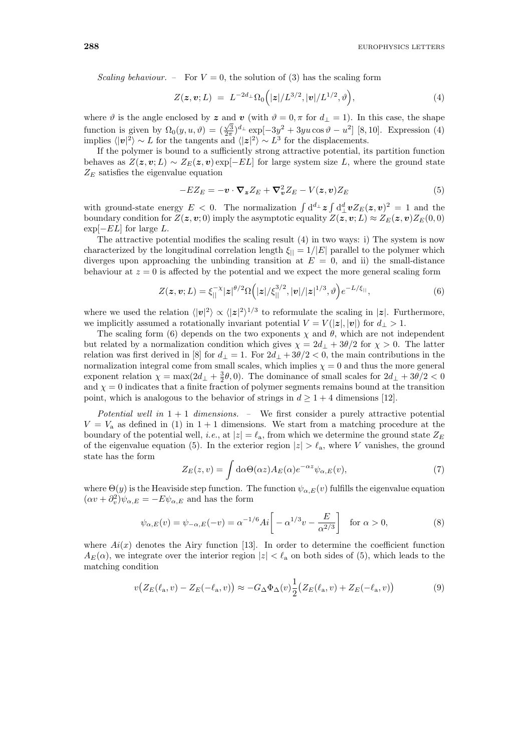Scaling behaviour. – For  $V = 0$ , the solution of (3) has the scaling form

$$
Z(z, v; L) = L^{-2d_{\perp}} \Omega_0(|z|/L^{3/2}, |v|/L^{1/2}, \vartheta), \qquad (4)
$$

where  $\vartheta$  is the angle enclosed by z and *v* (with  $\vartheta = 0, \pi$  for  $d_{\perp} = 1$ ). In this case, the shape function is given by  $\Omega_0(y, u, \vartheta) = (\frac{\sqrt{3}}{2\pi})d_\perp \exp[-3y^2 + 3yu \cos \vartheta - u^2]$  [8, 10]. Expression (4) implies  $\langle |v|^2 \rangle \sim L$  for the tangents and  $\langle |z|^2 \rangle \sim L^3$  for the displacements.

If the polymer is bound to a sufficiently strong attractive potential, its partition function behaves as  $Z(z, v; L) \sim Z_E(z, v) \exp[-EL]$  for large system size L, where the ground state  $Z_E$  satisfies the eigenvalue equation

$$
-EZ_E = -\boldsymbol{v} \cdot \boldsymbol{\nabla_z} Z_E + \boldsymbol{\nabla_v^2} Z_E - V(z, \boldsymbol{v}) Z_E \tag{5}
$$

with ground-state energy  $E < 0$ . The normalization  $\int d^d x \, \mathbf{z} \int d^d x \, Z_E(z, v)^2 = 1$  and the boundary condition for  $Z(z, v; 0)$  imply the asymptotic equality  $Z(z, v; L) \approx Z_E(z, v)Z_E(0, 0)$  $\exp[-EL]$  for large L.

The attractive potential modifies the scaling result (4) in two ways: i) The system is now characterized by the longitudinal correlation length  $\xi_{\parallel} = 1/|E|$  parallel to the polymer which diverges upon approaching the unbinding transition at  $E = 0$ , and ii) the small-distance behaviour at  $z = 0$  is affected by the potential and we expect the more general scaling form

$$
Z(\mathbf{z}, \mathbf{v}; L) = \xi_{||}^{-\chi} |z|^{\theta/2} \Omega\Big(|z|/\xi_{||}^{3/2}, |\mathbf{v}|/|z|^{1/3}, \vartheta\Big) e^{-L/\xi_{||}},
$$
(6)

where we used the relation  $\langle |v|^2 \rangle \propto \langle |z|^2 \rangle^{1/3}$  to reformulate the scaling in  $|z|$ . Furthermore, we implicitly assumed a rotationally invariant potential  $V = V(|z|, |v|)$  for  $d_{\perp} > 1$ .

The scaling form (6) depends on the two exponents  $\chi$  and  $\theta$ , which are not independent but related by a normalization condition which gives  $\chi = 2d_{\perp} + 3\theta/2$  for  $\chi > 0$ . The latter relation was first derived in [8] for  $d_{\perp} = 1$ . For  $2d_{\perp} + 3\theta/2 < 0$ , the main contributions in the normalization integral come from small scales, which implies  $\chi = 0$  and thus the more general exponent relation  $\chi = \max(2d_{\perp} + \frac{3}{2}\theta, 0)$ . The dominance of small scales for  $2d_{\perp} + 3\theta/2 < 0$ and  $\chi = 0$  indicates that a finite fraction of polymer segments remains bound at the transition point, which is analogous to the behavior of strings in  $d \geq 1 + 4$  dimensions [12].

Potential well in  $1+1$  dimensions. - We first consider a purely attractive potential  $V = V<sub>a</sub>$  as defined in (1) in 1 + 1 dimensions. We start from a matching procedure at the boundary of the potential well, *i.e.*, at  $|z| = \ell_a$ , from which we determine the ground state  $Z_E$ of the eigenvalue equation (5). In the exterior region  $|z| > \ell_{\rm a}$ , where V vanishes, the ground state has the form

$$
Z_E(z,v) = \int d\alpha \Theta(\alpha z) A_E(\alpha) e^{-\alpha z} \psi_{\alpha,E}(v), \qquad (7)
$$

where  $\Theta(y)$  is the Heaviside step function. The function  $\psi_{\alpha,E}(v)$  fulfills the eigenvalue equation  $(\alpha v + \partial_v^2)\psi_{\alpha,E} = -E\psi_{\alpha,E}$  and has the form

$$
\psi_{\alpha,E}(v) = \psi_{-\alpha,E}(-v) = \alpha^{-1/6} Ai \left[ -\alpha^{1/3} v - \frac{E}{\alpha^{2/3}} \right] \quad \text{for } \alpha > 0,
$$
\n(8)

where  $Ai(x)$  denotes the Airy function [13]. In order to determine the coefficient function  $A_E(\alpha)$ , we integrate over the interior region  $|z| < \ell_a$  on both sides of (5), which leads to the matching condition

$$
v(Z_E(\ell_a, v) - Z_E(-\ell_a, v)) \approx -G_\Delta \Phi_\Delta(v) \frac{1}{2} (Z_E(\ell_a, v) + Z_E(-\ell_a, v))
$$
\n<sup>(9)</sup>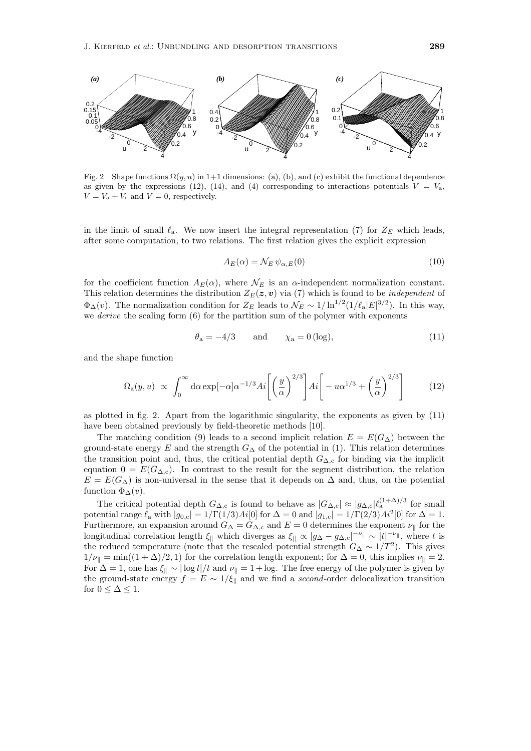

Fig. 2 – Shape functions  $\Omega(y, u)$  in 1+1 dimensions: (a), (b), and (c) exhibit the functional dependence as given by the expressions (12), (14), and (4) corresponding to interactions potentials  $V = V_a$ ,  $V = V_a + V_r$  and  $V = 0$ , respectively.

in the limit of small  $\ell_a$ . We now insert the integral representation (7) for  $Z_F$  which leads, after some computation, to two relations. The first relation gives the explicit expression

$$
A_E(\alpha) = \mathcal{N}_E \,\psi_{\alpha,E}(0) \tag{10}
$$

for the coefficient function  $A_E(\alpha)$ , where  $\mathcal{N}_E$  is an  $\alpha$ -independent normalization constant. This relation determines the distribution  $Z_E(z, v)$  via (7) which is found to be *independent* of  $\Phi_{\Delta}(v)$ . The normalization condition for  $Z_E$  leads to  $\mathcal{N}_E \sim 1/\ln^{1/2}(1/\ell_a|E|^{3/2})$ . In this way, we derive the scaling form (6) for the partition sum of the polymer with exponents

$$
\theta_{\rm a} = -4/3 \qquad \text{and} \qquad \chi_{\rm a} = 0 \, (\log), \tag{11}
$$

and the shape function

$$
\Omega_{\rm a}(y, u) \propto \int_0^\infty d\alpha \exp[-\alpha] \alpha^{-1/3} Ai \left[ \left( \frac{y}{\alpha} \right)^{2/3} \right] Ai \left[ -u \alpha^{1/3} + \left( \frac{y}{\alpha} \right)^{2/3} \right] \tag{12}
$$

as plotted in fig. 2. Apart from the logarithmic singularity, the exponents as given by (11) have been obtained previously by field-theoretic methods [10].

The matching condition (9) leads to a second implicit relation  $E = E(G_\Delta)$  between the ground-state energy E and the strength  $G_{\Delta}$  of the potential in (1). This relation determines the transition point and, thus, the critical potential depth  $G_{\Delta,c}$  for binding via the implicit equation  $0 = E(G_{\Delta,c})$ . In contrast to the result for the segment distribution, the relation  $E = E(G<sub>\Delta</sub>)$  is non-universal in the sense that it depends on  $\Delta$  and, thus, on the potential function  $\Phi_{\Delta}(v)$ .

The critical potential depth  $G_{\Delta,c}$  is found to behave as  $|G_{\Delta,c}| \approx |g_{\Delta,c}| \ell_a^{(1+\Delta)/3}$  for small potential range  $\ell_a$  with  $|g_{0,c}| = 1/\Gamma(1/3)Ai[0]$  for  $\Delta = 0$  and  $|g_{1,c}| = 1/\Gamma(2/3)Ai^2[0]$  for  $\Delta = 1$ . Furthermore, an expansion around  $G_{\Delta} = G_{\Delta,\text{c}}$  and  $E = 0$  determines the exponent  $\nu_{\parallel}$  for the longitudinal correlation length  $\xi_{\parallel}$  which diverges as  $\xi_{\parallel} \propto |g_{\Delta} - g_{\Delta,c}|^{-\nu_{\parallel}} \sim |t|^{-\nu_{\parallel}}$ , where t is the reduced temperature (note that the rescaled potential strength  $G_{\Delta} \sim 1/T^2$ ). This gives  $1/\nu_{\parallel} = \min((1 + \Delta)/2, 1)$  for the correlation length exponent; for  $\Delta = 0$ , this implies  $\nu_{\parallel} = 2$ . For  $\Delta = 1$ , one has  $\xi_{\parallel} \sim |\log t|/t$  and  $\nu_{\parallel} = 1 + \log$ . The free energy of the polymer is given by the ground-state energy  $f = E \sim 1/\xi_{\parallel}$  and we find a second-order delocalization transition for  $0 \leq \Delta \leq 1$ .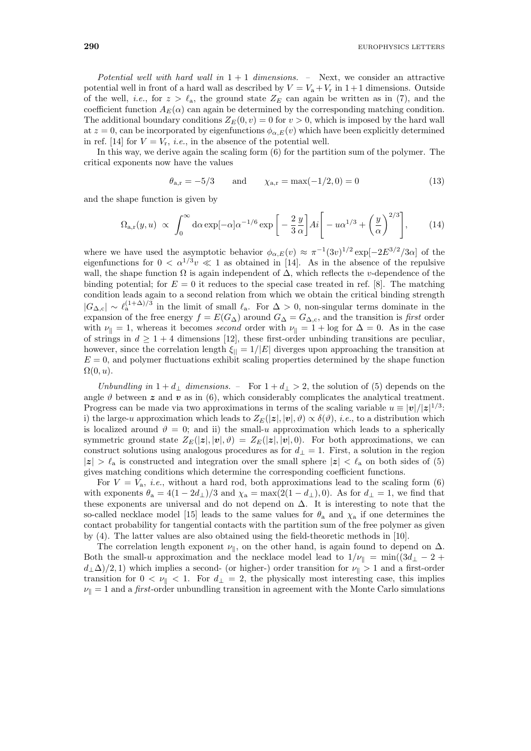Potential well with hard wall in  $1+1$  dimensions. – Next, we consider an attractive potential well in front of a hard wall as described by  $V = V_a + V_r$  in  $1+1$  dimensions. Outside of the well, *i.e.*, for  $z > \ell_a$ , the ground state  $Z_E$  can again be written as in (7), and the coefficient function  $A_E(\alpha)$  can again be determined by the corresponding matching condition. The additional boundary conditions  $Z_E(0, v) = 0$  for  $v > 0$ , which is imposed by the hard wall at  $z = 0$ , can be incorporated by eigenfunctions  $\phi_{\alpha,E}(v)$  which have been explicitly determined in ref. [14] for  $V = V_r$ , *i.e.*, in the absence of the potential well.

In this way, we derive again the scaling form (6) for the partition sum of the polymer. The critical exponents now have the values

$$
\theta_{a,r} = -5/3
$$
 and  $\chi_{a,r} = max(-1/2, 0) = 0$  (13)

and the shape function is given by

$$
\Omega_{a,r}(y,u) \propto \int_0^\infty d\alpha \exp[-\alpha] \alpha^{-1/6} \exp\left[-\frac{2}{3}\frac{y}{\alpha}\right] Ai \left[-u\alpha^{1/3} + \left(\frac{y}{\alpha}\right)^{2/3}\right],\tag{14}
$$

where we have used the asymptotic behavior  $\phi_{\alpha,E}(v) \approx \pi^{-1}(3v)^{1/2} \exp[-2E^{3/2}/3\alpha]$  of the eigenfunctions for  $0 < \alpha^{1/3}v \ll 1$  as obtained in [14]. As in the absence of the repulsive wall, the shape function  $\Omega$  is again independent of  $\Delta$ , which reflects the v-dependence of the binding potential; for  $E = 0$  it reduces to the special case treated in ref. [8]. The matching condition leads again to a second relation from which we obtain the critical binding strength  $|G_{\Delta,c}| \sim \ell_a^{(1+\Delta)/3}$  in the limit of small  $\ell_a$ . For  $\Delta > 0$ , non-singular terms dominate in the expansion of the free energy  $f = E(G_{\Delta})$  around  $G_{\Delta} = G_{\Delta,c}$ , and the transition is first order with  $\nu_{\parallel} = 1$ , whereas it becomes second order with  $\nu_{\parallel} = 1 + \log$  for  $\Delta = 0$ . As in the case of strings in  $d \geq 1 + 4$  dimensions [12], these first-order unbinding transitions are peculiar, however, since the correlation length  $\xi_{\parallel} = 1/|E|$  diverges upon approaching the transition at  $E = 0$ , and polymer fluctuations exhibit scaling properties determined by the shape function  $\Omega(0, u)$ .

Unbundling in  $1 + d_{\perp}$  dimensions. – For  $1 + d_{\perp} > 2$ , the solution of (5) depends on the angle  $\vartheta$  between  $\boldsymbol{z}$  and  $\boldsymbol{v}$  as in (6), which considerably complicates the analytical treatment. Progress can be made via two approximations in terms of the scaling variable  $u \equiv |\mathbf{v}|/|\mathbf{z}|^{1/3}$ : i) the large-u approximation which leads to  $Z_E(|z|, |v|, \vartheta) \propto \delta(\vartheta)$ , *i.e.*, to a distribution which is localized around  $\vartheta = 0$ ; and ii) the small-u approximation which leads to a spherically symmetric ground state  $Z_E(|z|, |v|, \vartheta) = Z_E(|z|, |v|, 0)$ . For both approximations, we can construct solutions using analogous procedures as for  $d_{\perp} = 1$ . First, a solution in the region  $|z| > \ell_a$  is constructed and integration over the small sphere  $|z| < \ell_a$  on both sides of (5) gives matching conditions which determine the corresponding coefficient functions.

For  $V = V_a$ , *i.e.*, without a hard rod, both approximations lead to the scaling form (6) with exponents  $\theta_a = 4(1 - 2d_\perp)/3$  and  $\chi_a = \max(2(1 - d_\perp), 0)$ . As for  $d_\perp = 1$ , we find that these exponents are universal and do not depend on ∆. It is interesting to note that the so-called necklace model [15] leads to the same values for  $\theta_a$  and  $\chi_a$  if one determines the contact probability for tangential contacts with the partition sum of the free polymer as given by (4). The latter values are also obtained using the field-theoretic methods in [10].

The correlation length exponent  $\nu_{\parallel}$ , on the other hand, is again found to depend on  $\Delta$ . Both the small-u approximation and the necklace model lead to  $1/\nu_{\parallel} = \min((3d_{\perp} - 2 +$  $d_{\perp}\Delta/2, 1$ ) which implies a second- (or higher-) order transition for  $\nu_{\parallel} > 1$  and a first-order transition for  $0 < \nu_{\parallel} < 1$ . For  $d_{\perp} = 2$ , the physically most interesting case, this implies  $\nu_{\parallel} = 1$  and a *first*-order unbundling transition in agreement with the Monte Carlo simulations